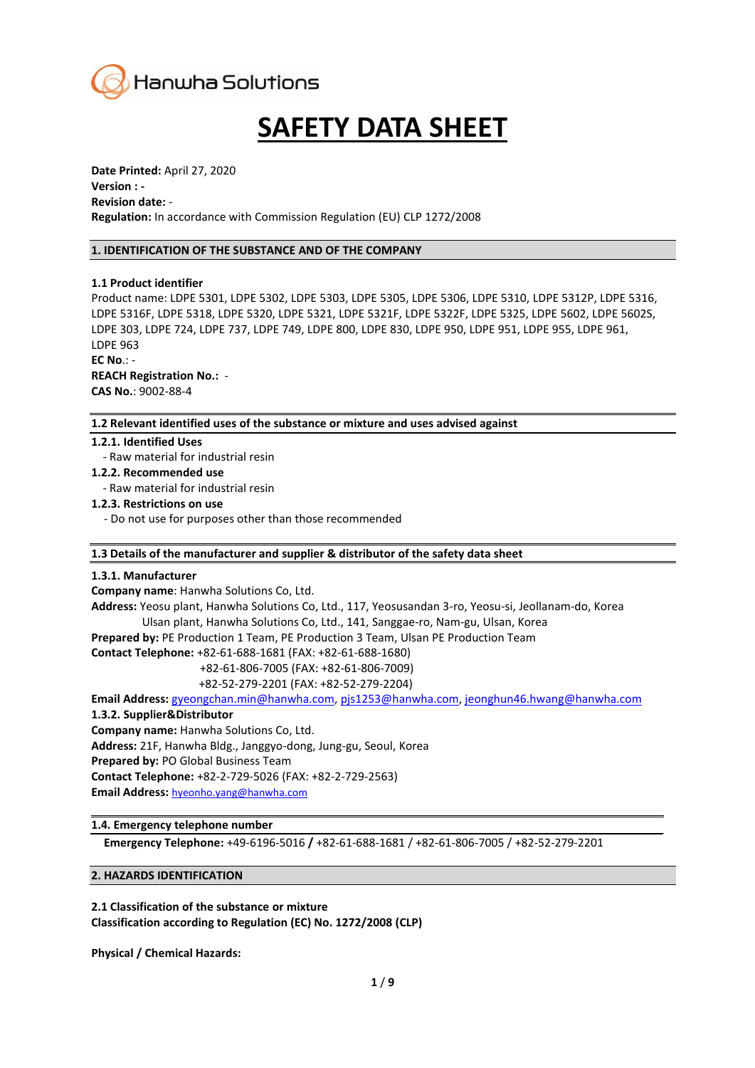

# **SAFETY DATA SHEET**

**Date Printed:** April 27, 2020 **Version : - Revision date:** - **Regulation:** In accordance with Commission Regulation (EU) CLP 1272/2008

#### **1. IDENTIFICATION OF THE SUBSTANCE AND OF THE COMPANY**

#### **1.1 Product identifier**

Product name: LDPE 5301, LDPE 5302, LDPE 5303, LDPE 5305, LDPE 5306, LDPE 5310, LDPE 5312P, LDPE 5316, LDPE 5316F, LDPE 5318, LDPE 5320, LDPE 5321, LDPE 5321F, LDPE 5322F, LDPE 5325, LDPE 5602, LDPE 5602S, LDPE 303, LDPE 724, LDPE 737, LDPE 749, LDPE 800, LDPE 830, LDPE 950, LDPE 951, LDPE 955, LDPE 961, LDPE 963

**EC No**.: -

**REACH Registration No.:** - **CAS No.**: 9002-88-4

#### **1.2 Relevant identified uses of the substance or mixture and uses advised against**

#### **1.2.1. Identified Uses**

- Raw material for industrial resin

**1.2.2. Recommended use**

- Raw material for industrial resin

#### **1.2.3. Restrictions on use**

- Do not use for purposes other than those recommended

#### **1.3 Details of the manufacturer and supplier & distributor of the safety data sheet**

#### **1.3.1. Manufacturer**

**Company name**: Hanwha Solutions Co, Ltd.

**Address:** Yeosu plant, Hanwha Solutions Co, Ltd., 117, Yeosusandan 3-ro, Yeosu-si, Jeollanam-do, Korea Ulsan plant, Hanwha Solutions Co, Ltd., 141, Sanggae-ro, Nam-gu, Ulsan, Korea **Prepared by:** PE Production 1 Team, PE Production 3 Team, Ulsan PE Production Team

**Contact Telephone:** +82-61-688-1681 (FAX: +82-61-688-1680)

+82-61-806-7005 (FAX: +82-61-806-7009)

+82-52-279-2201 (FAX: +82-52-279-2204)

**Email Address:** [gyeongchan.min@hanwha.com,](mailto:gyeongchan.min@hanwha.com) [pjs1253@hanwha.com,](mailto:pjs1253@hanwha.com) [jeonghun46.hwang@hanwha.com](mailto:jeonghun46.hwang@hanwha.com)

# **1.3.2. Supplier&Distributor**

**Company name:** Hanwha Solutions Co, Ltd. **Address:** 21F, Hanwha Bldg., Janggyo-dong, Jung-gu, Seoul, Korea **Prepared by:** PO Global Business Team **Contact Telephone:** +82-2-729-5026 (FAX: +82-2-729-2563) **Email Address:** hyeonho.yang@hanwha.com

## **1.4. Emergency telephone number**

**Emergency Telephone:** +49-6196-5016 **/** +82-61-688-1681 / +82-61-806-7005 / +82-52-279-2201

## **2. HAZARDS IDENTIFICATION**

**2.1 Classification of the substance or mixture Classification according to Regulation (EC) No. 1272/2008 (CLP)**

**Physical / Chemical Hazards:**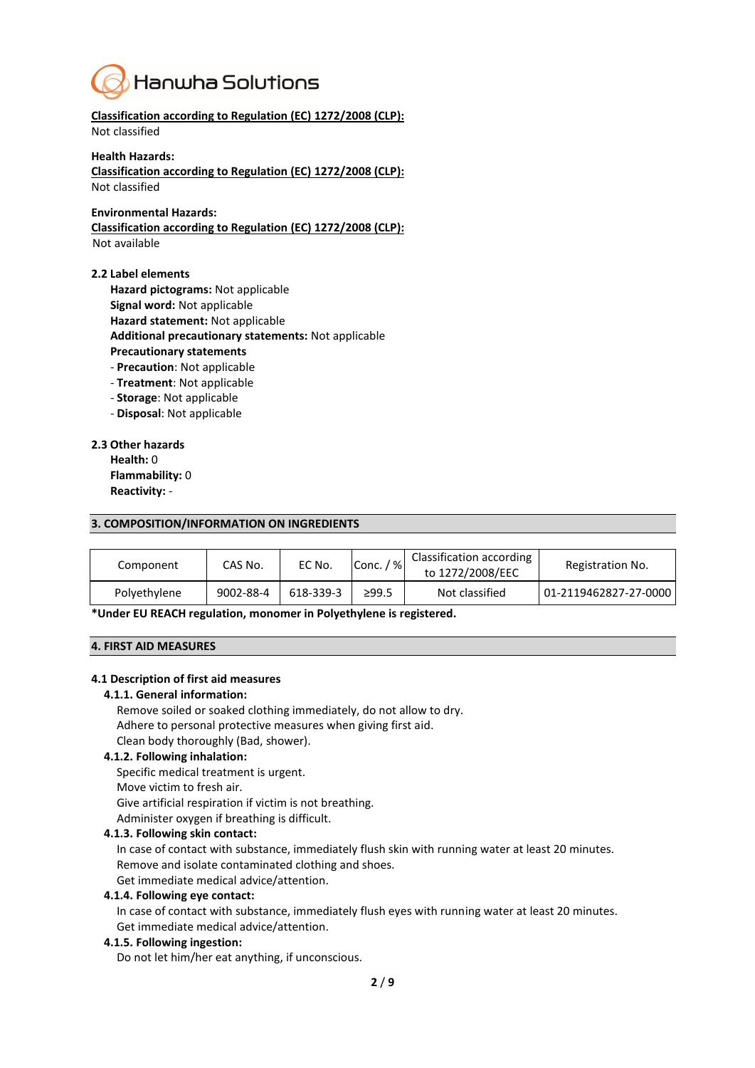

**Classification according to Regulation (EC) 1272/2008 (CLP):** Not classified

#### **Health Hazards:**

**Classification according to Regulation (EC) 1272/2008 (CLP):** Not classified

#### **Environmental Hazards:**

**Classification according to Regulation (EC) 1272/2008 (CLP):** Not available

#### **2.2 Label elements**

**Hazard pictograms:** Not applicable

- **Signal word:** Not applicable
- **Hazard statement:** Not applicable

**Additional precautionary statements:** Not applicable

- **Precautionary statements**
- **Precaution**: Not applicable
- **Treatment**: Not applicable
- **Storage**: Not applicable
- **Disposal**: Not applicable

#### **2.3 Other hazards**

**Health:** 0 **Flammability:** 0 **Reactivity:** -

#### **3. COMPOSITION/INFORMATION ON INGREDIENTS**

| Component    | CAS No.   | EC No.    | $^{\prime}$ % $^{\prime}$<br>Conc./ | Classification according<br>to 1272/2008/EEC | Registration No.      |
|--------------|-----------|-----------|-------------------------------------|----------------------------------------------|-----------------------|
| Polyethylene | 9002-88-4 | 618-339-3 | ≥99.5                               | Not classified                               | 01-2119462827-27-0000 |

**\*Under EU REACH regulation, monomer in Polyethylene is registered.**

#### **4. FIRST AID MEASURES**

#### **4.1 Description of first aid measures**

#### **4.1.1. General information:**

Remove soiled or soaked clothing immediately, do not allow to dry. Adhere to personal protective measures when giving first aid. Clean body thoroughly (Bad, shower).

## **4.1.2. Following inhalation:**

Specific medical treatment is urgent. Move victim to fresh air. Give artificial respiration if victim is not breathing. Administer oxygen if breathing is difficult.

#### **4.1.3. Following skin contact:**

In case of contact with substance, immediately flush skin with running water at least 20 minutes. Remove and isolate contaminated clothing and shoes.

Get immediate medical advice/attention.

## **4.1.4. Following eye contact:**

In case of contact with substance, immediately flush eyes with running water at least 20 minutes. Get immediate medical advice/attention.

#### **4.1.5. Following ingestion:**

Do not let him/her eat anything, if unconscious.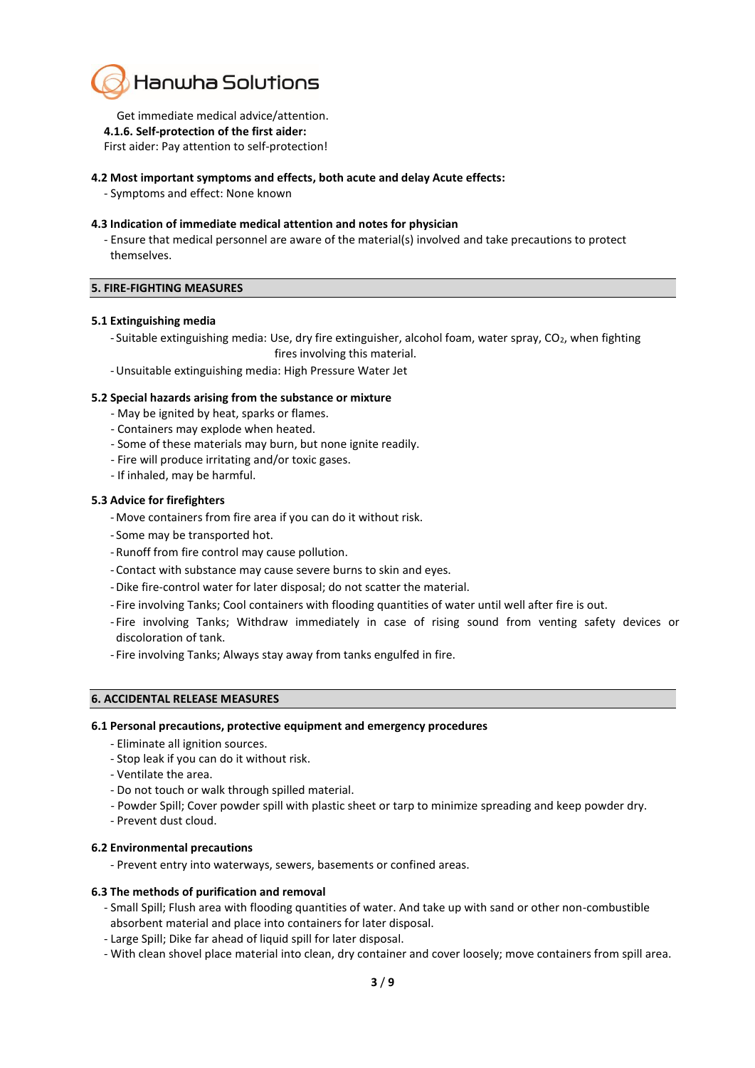

Get immediate medical advice/attention.

**4.1.6. Self-protection of the first aider:**

First aider: Pay attention to self-protection!

## **4.2 Most important symptoms and effects, both acute and delay Acute effects:**

- Symptoms and effect: None known

## **4.3 Indication of immediate medical attention and notes for physician**

- Ensure that medical personnel are aware of the material(s) involved and take precautions to protect themselves.

## **5. FIRE-FIGHTING MEASURES**

#### **5.1 Extinguishing media**

- Suitable extinguishing media: Use, dry fire extinguisher, alcohol foam, water spray, CO<sub>2</sub>, when fighting
- fires involving this material.
- -Unsuitable extinguishing media: High Pressure Water Jet

#### **5.2 Special hazards arising from the substance or mixture**

- May be ignited by heat, sparks or flames.
- Containers may explode when heated.
- Some of these materials may burn, but none ignite readily.
- Fire will produce irritating and/or toxic gases.
- If inhaled, may be harmful.

#### **5.3 Advice for firefighters**

- Move containers from fire area if you can do it without risk.
- Some may be transported hot.
- Runoff from fire control may cause pollution.
- Contact with substance may cause severe burns to skin and eyes.
- -Dike fire-control water for later disposal; do not scatter the material.
- Fire involving Tanks; Cool containers with flooding quantities of water until well after fire is out.
- Fire involving Tanks; Withdraw immediately in case of rising sound from venting safety devices or discoloration of tank.
- Fire involving Tanks; Always stay away from tanks engulfed in fire.

## **6. ACCIDENTAL RELEASE MEASURES**

#### **6.1 Personal precautions, protective equipment and emergency procedures**

- Eliminate all ignition sources.
- Stop leak if you can do it without risk.
- Ventilate the area.
- Do not touch or walk through spilled material.
- Powder Spill; Cover powder spill with plastic sheet or tarp to minimize spreading and keep powder dry.
- Prevent dust cloud.

## **6.2 Environmental precautions**

- Prevent entry into waterways, sewers, basements or confined areas.

## **6.3 The methods of purification and removal**

- Small Spill; Flush area with flooding quantities of water. And take up with sand or other non-combustible absorbent material and place into containers for later disposal.
- Large Spill; Dike far ahead of liquid spill for later disposal.
- With clean shovel place material into clean, dry container and cover loosely; move containers from spill area.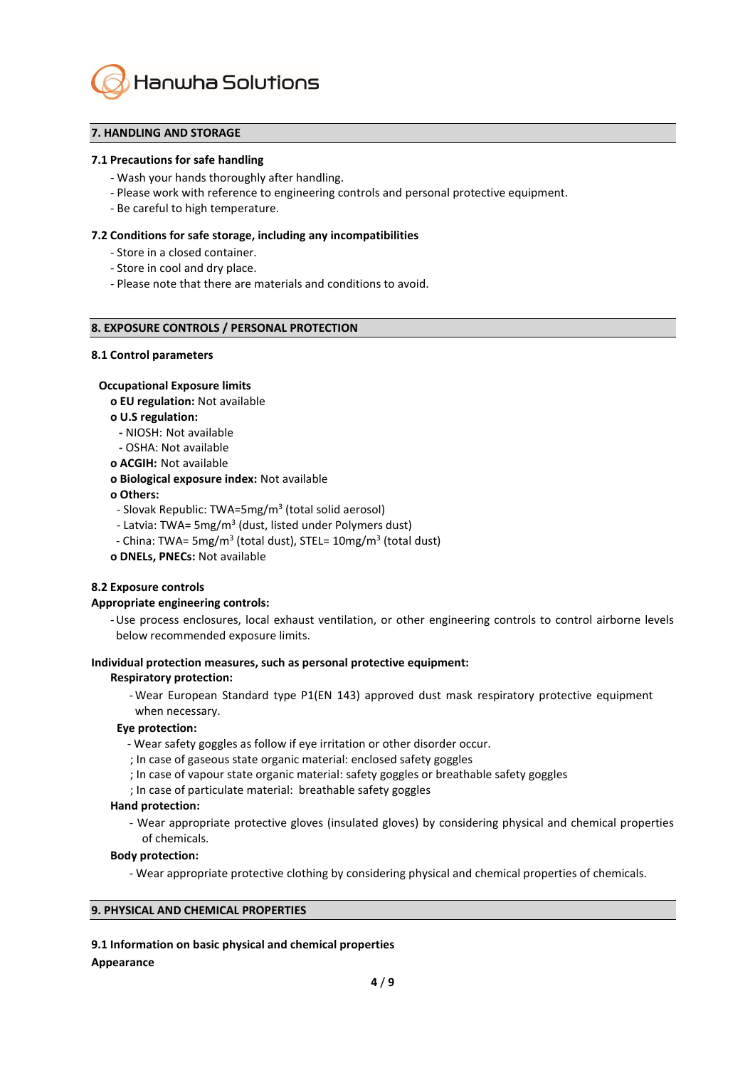

# **7. HANDLING AND STORAGE**

#### **7.1 Precautions for safe handling**

- Wash your hands thoroughly after handling.
- Please work with reference to engineering controls and personal protective equipment.
- Be careful to high temperature.

#### **7.2 Conditions for safe storage, including any incompatibilities**

- Store in a closed container.
- Store in cool and dry place.
- Please note that there are materials and conditions to avoid.

#### **8. EXPOSURE CONTROLS / PERSONAL PROTECTION**

#### **8.1 Control parameters**

#### **Occupational Exposure limits**

**ο EU regulation:** Not available

#### **ο U.S regulation:**

- **-** NIOSH: Not available
- **-** OSHA: Not available
- **ο ACGIH:** Not available

#### **ο Biological exposure index:** Not available

#### **ο Others:**

- Slovak Republic: TWA=5mg/m<sup>3</sup> (total solid aerosol)
- Latvia: TWA= 5mg/m<sup>3</sup> (dust, listed under Polymers dust)
- China: TWA= 5mg/m<sup>3</sup> (total dust), STEL= 10mg/m<sup>3</sup> (total dust)
- **ο DNELs, PNECs:** Not available

#### **8.2 Exposure controls**

#### **Appropriate engineering controls:**

-Use process enclosures, local exhaust ventilation, or other engineering controls to control airborne levels below recommended exposure limits.

#### **Individual protection measures, such as personal protective equipment:**

#### **Respiratory protection:**

- Wear European Standard type P1(EN 143) approved dust mask respiratory protective equipment when necessary.

#### **Eye protection:**

- Wear safety goggles as follow if eye irritation or other disorder occur.
- ; In case of gaseous state organic material: enclosed safety goggles
- ; In case of vapour state organic material: safety goggles or breathable safety goggles
- ; In case of particulate material: breathable safety goggles

#### **Hand protection:**

- Wear appropriate protective gloves (insulated gloves) by considering physical and chemical properties of chemicals.

#### **Body protection:**

- Wear appropriate protective clothing by considering physical and chemical properties of chemicals.

## **9. PHYSICAL AND CHEMICAL PROPERTIES**

**9.1 Information on basic physical and chemical properties**

## **Appearance**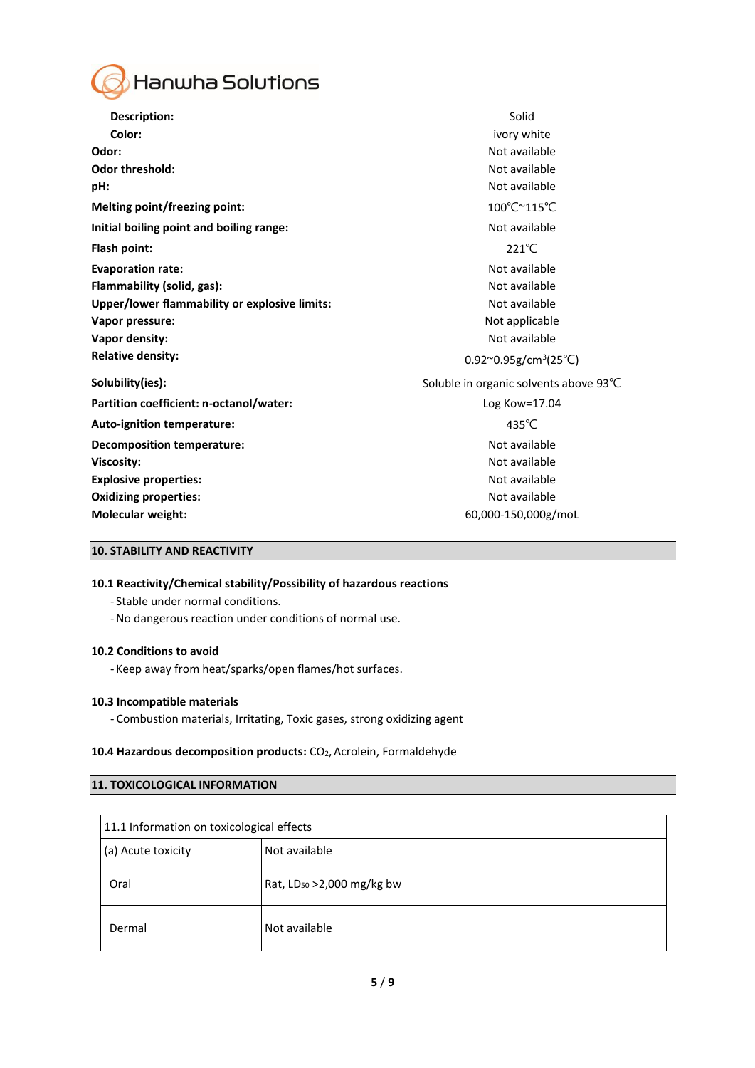

| <b>Description:</b>                           | Solid                                   |
|-----------------------------------------------|-----------------------------------------|
| Color:                                        | ivory white                             |
| Odor:                                         | Not available                           |
| <b>Odor threshold:</b>                        | Not available                           |
| pH:                                           | Not available                           |
| Melting point/freezing point:                 | 100°C~115°C                             |
| Initial boiling point and boiling range:      | Not available                           |
| Flash point:                                  | $221^{\circ}$ C                         |
| <b>Evaporation rate:</b>                      | Not available                           |
| Flammability (solid, gas):                    | Not available                           |
| Upper/lower flammability or explosive limits: | Not available                           |
| Vapor pressure:                               | Not applicable                          |
| Vapor density:                                | Not available                           |
| <b>Relative density:</b>                      | $0.92^{\circ}0.95g/cm^{3}(25^{\circ}C)$ |
| Solubility(ies):                              | Soluble in organic solvents above 93°C  |
| Partition coefficient: n-octanol/water:       | Log Kow=17.04                           |
| Auto-ignition temperature:                    | 435°C                                   |
| Decomposition temperature:                    | Not available                           |
| <b>Viscosity:</b>                             | Not available                           |
| <b>Explosive properties:</b>                  | Not available                           |
| <b>Oxidizing properties:</b>                  | Not available                           |
| <b>Molecular weight:</b>                      | 60,000-150,000g/moL                     |

## **10. STABILITY AND REACTIVITY**

## **10.1 Reactivity/Chemical stability/Possibility of hazardous reactions**

- Stable under normal conditions.
- -No dangerous reaction under conditions of normal use.

## **10.2 Conditions to avoid**

- Keep away from heat/sparks/open flames/hot surfaces.

#### **10.3 Incompatible materials**

- Combustion materials, Irritating, Toxic gases, strong oxidizing agent

## **10.4 Hazardous decomposition products:** CO2, Acrolein, Formaldehyde

## **11. TOXICOLOGICAL INFORMATION**

| 11.1 Information on toxicological effects |                                        |  |
|-------------------------------------------|----------------------------------------|--|
| (a) Acute toxicity                        | Not available                          |  |
| Oral                                      | Rat, LD <sub>50</sub> > 2,000 mg/kg bw |  |
| Dermal                                    | Not available                          |  |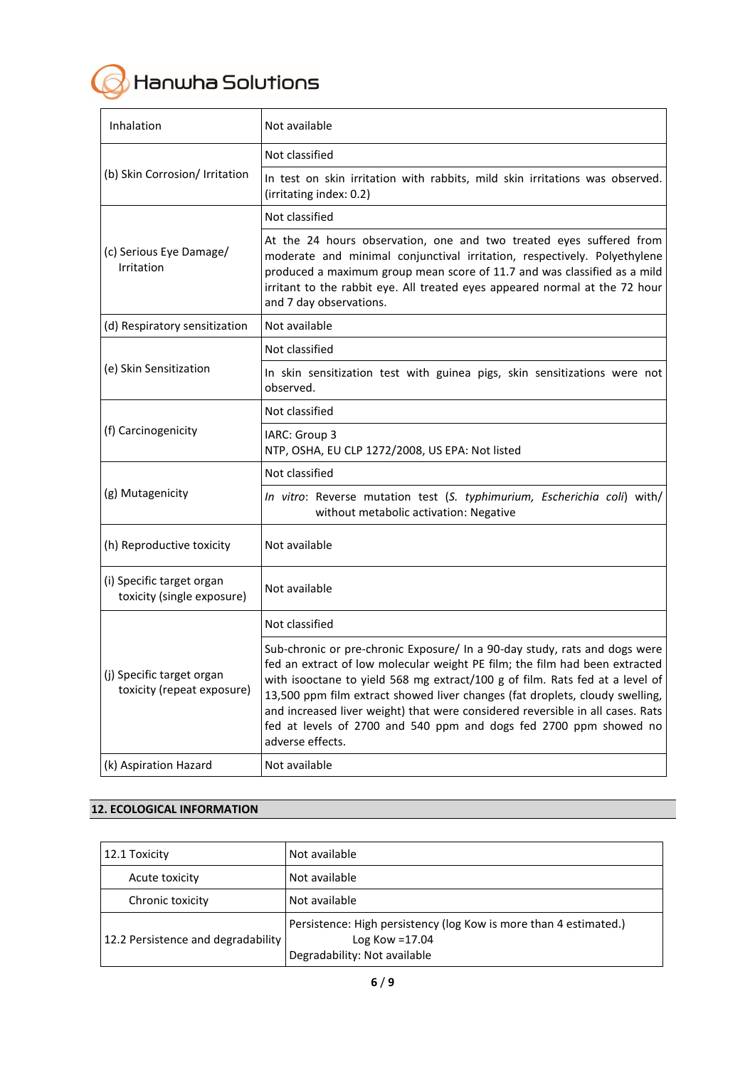

| Inhalation                                              | Not available                                                                                                                                                                                                                                                                                                                                                                                                                                                                                        |
|---------------------------------------------------------|------------------------------------------------------------------------------------------------------------------------------------------------------------------------------------------------------------------------------------------------------------------------------------------------------------------------------------------------------------------------------------------------------------------------------------------------------------------------------------------------------|
| (b) Skin Corrosion/ Irritation                          | Not classified                                                                                                                                                                                                                                                                                                                                                                                                                                                                                       |
|                                                         | In test on skin irritation with rabbits, mild skin irritations was observed.<br>(irritating index: 0.2)                                                                                                                                                                                                                                                                                                                                                                                              |
|                                                         | Not classified                                                                                                                                                                                                                                                                                                                                                                                                                                                                                       |
| (c) Serious Eye Damage/<br>Irritation                   | At the 24 hours observation, one and two treated eyes suffered from<br>moderate and minimal conjunctival irritation, respectively. Polyethylene<br>produced a maximum group mean score of 11.7 and was classified as a mild<br>irritant to the rabbit eye. All treated eyes appeared normal at the 72 hour<br>and 7 day observations.                                                                                                                                                                |
| (d) Respiratory sensitization                           | Not available                                                                                                                                                                                                                                                                                                                                                                                                                                                                                        |
|                                                         | Not classified                                                                                                                                                                                                                                                                                                                                                                                                                                                                                       |
| (e) Skin Sensitization                                  | In skin sensitization test with guinea pigs, skin sensitizations were not<br>observed.                                                                                                                                                                                                                                                                                                                                                                                                               |
|                                                         | Not classified                                                                                                                                                                                                                                                                                                                                                                                                                                                                                       |
| (f) Carcinogenicity                                     | IARC: Group 3<br>NTP, OSHA, EU CLP 1272/2008, US EPA: Not listed                                                                                                                                                                                                                                                                                                                                                                                                                                     |
| (g) Mutagenicity                                        | Not classified                                                                                                                                                                                                                                                                                                                                                                                                                                                                                       |
|                                                         | In vitro: Reverse mutation test (S. typhimurium, Escherichia coli) with/<br>without metabolic activation: Negative                                                                                                                                                                                                                                                                                                                                                                                   |
| (h) Reproductive toxicity                               | Not available                                                                                                                                                                                                                                                                                                                                                                                                                                                                                        |
| (i) Specific target organ<br>toxicity (single exposure) | Not available                                                                                                                                                                                                                                                                                                                                                                                                                                                                                        |
|                                                         | Not classified                                                                                                                                                                                                                                                                                                                                                                                                                                                                                       |
| (j) Specific target organ<br>toxicity (repeat exposure) | Sub-chronic or pre-chronic Exposure/ In a 90-day study, rats and dogs were<br>fed an extract of low molecular weight PE film; the film had been extracted<br>with isooctane to yield 568 mg extract/100 g of film. Rats fed at a level of<br>13,500 ppm film extract showed liver changes (fat droplets, cloudy swelling,<br>and increased liver weight) that were considered reversible in all cases. Rats<br>fed at levels of 2700 and 540 ppm and dogs fed 2700 ppm showed no<br>adverse effects. |
| (k) Aspiration Hazard                                   | Not available                                                                                                                                                                                                                                                                                                                                                                                                                                                                                        |

# **12. ECOLOGICAL INFORMATION**

| 12.1 Toxicity                      | Not available                                                                                                          |
|------------------------------------|------------------------------------------------------------------------------------------------------------------------|
| Acute toxicity                     | Not available                                                                                                          |
| Chronic toxicity                   | Not available                                                                                                          |
| 12.2 Persistence and degradability | Persistence: High persistency (log Kow is more than 4 estimated.)<br>Log Kow = $17.04$<br>Degradability: Not available |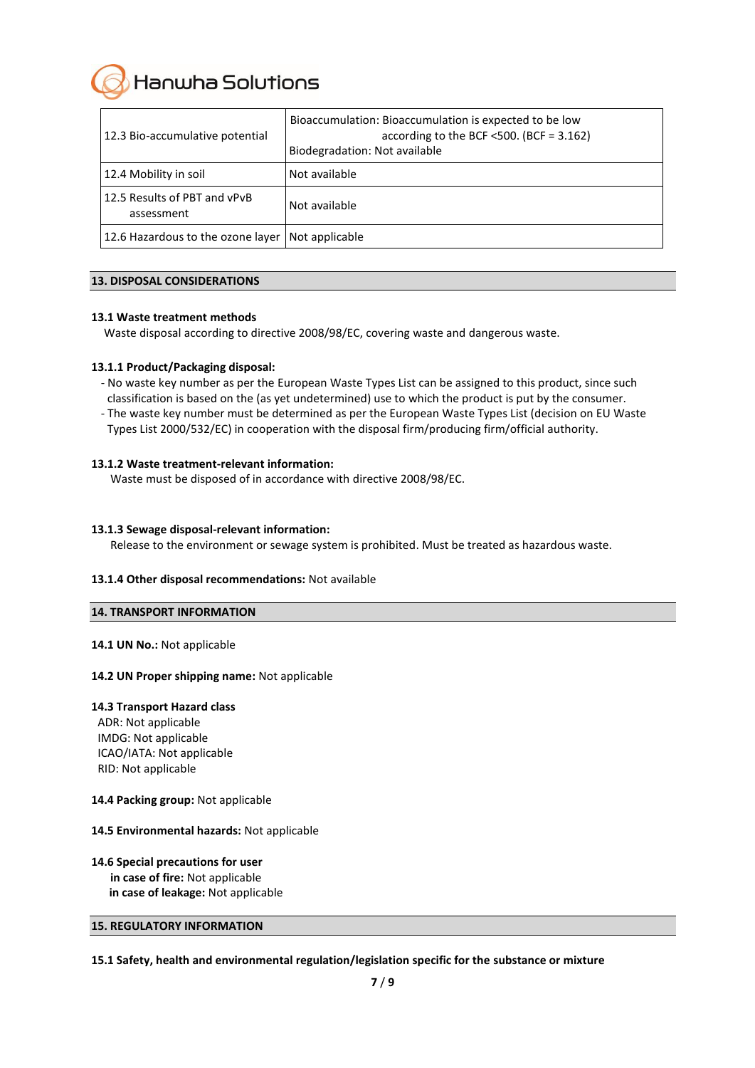Hanwha Solutions

| 12.3 Bio-accumulative potential            | Bioaccumulation: Bioaccumulation is expected to be low<br>according to the BCF $\leq$ 500. (BCF = 3.162)<br>Biodegradation: Not available |
|--------------------------------------------|-------------------------------------------------------------------------------------------------------------------------------------------|
| 12.4 Mobility in soil                      | Not available                                                                                                                             |
| 12.5 Results of PBT and vPvB<br>assessment | Not available                                                                                                                             |
| 12.6 Hazardous to the ozone layer          | Not applicable                                                                                                                            |

## **13. DISPOSAL CONSIDERATIONS**

#### **13.1 Waste treatment methods**

Waste disposal according to directive 2008/98/EC, covering waste and dangerous waste.

#### **13.1.1 Product/Packaging disposal:**

- No waste key number as per the European Waste Types List can be assigned to this product, since such classification is based on the (as yet undetermined) use to which the product is put by the consumer.
- The waste key number must be determined as per the European Waste Types List (decision on EU Waste Types List 2000/532/EC) in cooperation with the disposal firm/producing firm/official authority.

#### **13.1.2 Waste treatment-relevant information:**

Waste must be disposed of in accordance with directive 2008/98/EC.

#### **13.1.3 Sewage disposal-relevant information:**

Release to the environment or sewage system is prohibited. Must be treated as hazardous waste.

#### **13.1.4 Other disposal recommendations:** Not available

#### **14. TRANSPORT INFORMATION**

#### 14.1 UN No.: Not applicable

#### **14.2 UN Proper shipping name:** Not applicable

#### **14.3 Transport Hazard class**

ADR: Not applicable IMDG: Not applicable ICAO/IATA: Not applicable RID: Not applicable

#### **14.4 Packing group:** Not applicable

#### **14.5 Environmental hazards:** Not applicable

## **14.6 Special precautions for user in case of fire:** Not applicable **in case of leakage:** Not applicable

## **15. REGULATORY INFORMATION**

**15.1 Safety, health and environmental regulation/legislation specific for the substance or mixture**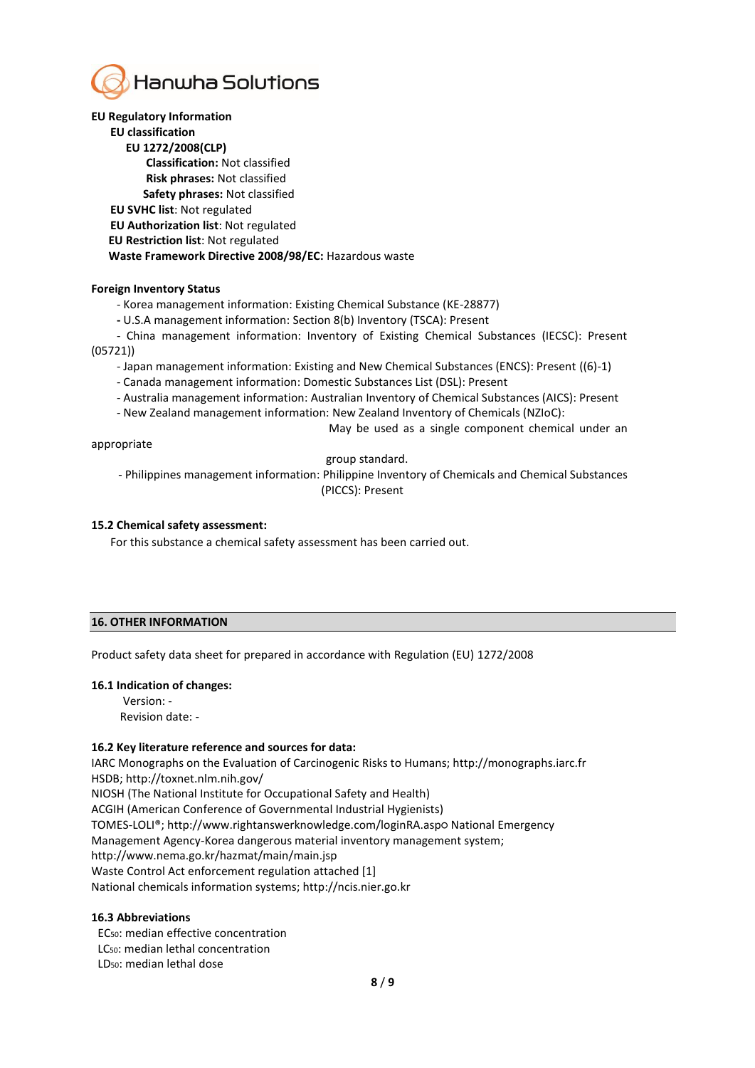

## **EU Regulatory Information**

# **EU classification**

**EU 1272/2008(CLP)** 

 **Classification:** Not classified

 **Risk phrases:** Not classified

 **Safety phrases:** Not classified

**EU SVHC list**: Not regulated

**EU Authorization list**: Not regulated

**EU Restriction list**: Not regulated

 **Waste Framework Directive 2008/98/EC:** Hazardous waste

#### **Foreign Inventory Status**

- Korea management information: Existing Chemical Substance (KE-28877)

**-** U.S.A management information: Section 8(b) Inventory (TSCA): Present

- China management information: Inventory of Existing Chemical Substances (IECSC): Present (05721))

- Japan management information: Existing and New Chemical Substances (ENCS): Present ((6)-1)

- Canada management information: Domestic Substances List (DSL): Present

- Australia management information: Australian Inventory of Chemical Substances (AICS): Present

- New Zealand management information: New Zealand Inventory of Chemicals (NZIoC):

May be used as a single component chemical under an

appropriate

group standard.

- Philippines management information: Philippine Inventory of Chemicals and Chemical Substances (PICCS): Present

#### **15.2 Chemical safety assessment:**

For this substance a chemical safety assessment has been carried out.

## **16. OTHER INFORMATION**

Product safety data sheet for prepared in accordance with Regulation (EU) 1272/2008

## **16.1 Indication of changes:**

Version: - Revision date: -

## **16.2 Key literature reference and sources for data:**

IARC Monographs on the Evaluation of Carcinogenic Risks to Humans; http://monographs.iarc.fr HSDB; http://toxnet.nlm.nih.gov/ NIOSH (The National Institute for Occupational Safety and Health) ACGIH (American Conference of Governmental Industrial Hygienists) TOMES-LOLI®; http://www.rightanswerknowledge.com/loginRA.aspo National Emergency Management Agency-Korea dangerous material inventory management system; http://www.nema.go.kr/hazmat/main/main.jsp

Waste Control Act enforcement regulation attached [1]

National chemicals information systems; http://ncis.nier.go.kr

## **16.3 Abbreviations**

EC50: median effective concentration

LC50: median lethal concentration

LD50: median lethal dose